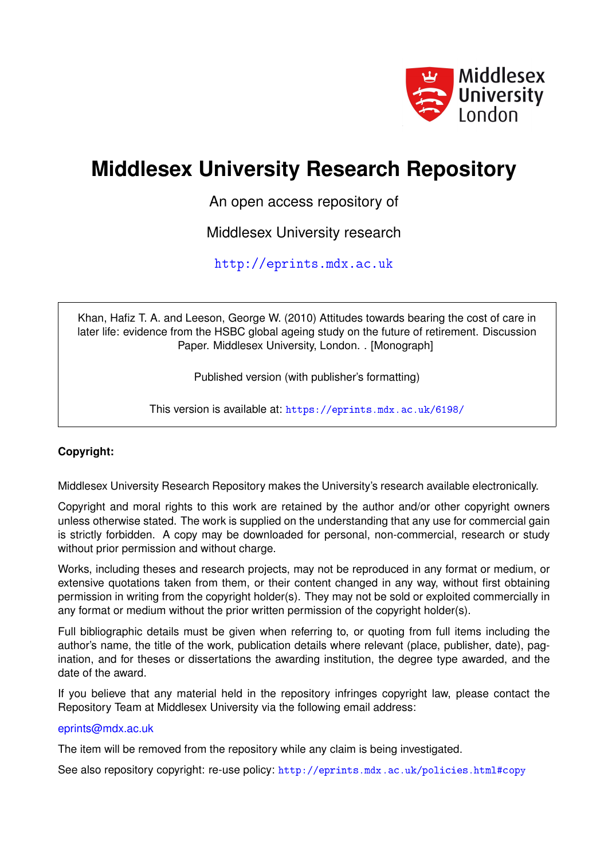

# **Middlesex University Research Repository**

An open access repository of

Middlesex University research

<http://eprints.mdx.ac.uk>

Khan, Hafiz T. A. and Leeson, George W. (2010) Attitudes towards bearing the cost of care in later life: evidence from the HSBC global ageing study on the future of retirement. Discussion Paper. Middlesex University, London. . [Monograph]

Published version (with publisher's formatting)

This version is available at: <https://eprints.mdx.ac.uk/6198/>

#### **Copyright:**

Middlesex University Research Repository makes the University's research available electronically.

Copyright and moral rights to this work are retained by the author and/or other copyright owners unless otherwise stated. The work is supplied on the understanding that any use for commercial gain is strictly forbidden. A copy may be downloaded for personal, non-commercial, research or study without prior permission and without charge.

Works, including theses and research projects, may not be reproduced in any format or medium, or extensive quotations taken from them, or their content changed in any way, without first obtaining permission in writing from the copyright holder(s). They may not be sold or exploited commercially in any format or medium without the prior written permission of the copyright holder(s).

Full bibliographic details must be given when referring to, or quoting from full items including the author's name, the title of the work, publication details where relevant (place, publisher, date), pagination, and for theses or dissertations the awarding institution, the degree type awarded, and the date of the award.

If you believe that any material held in the repository infringes copyright law, please contact the Repository Team at Middlesex University via the following email address:

#### [eprints@mdx.ac.uk](mailto:eprints@mdx.ac.uk)

The item will be removed from the repository while any claim is being investigated.

See also repository copyright: re-use policy: <http://eprints.mdx.ac.uk/policies.html#copy>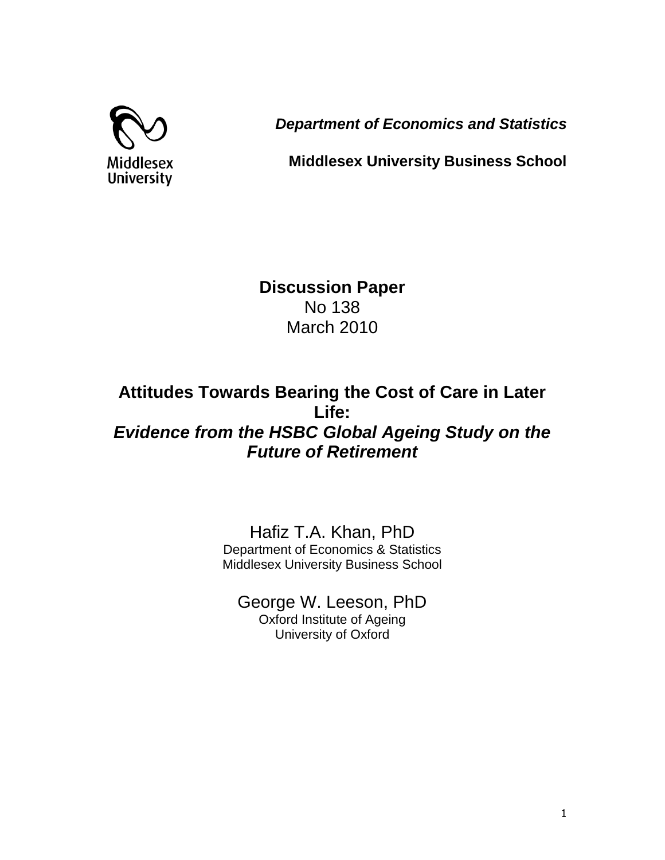

*Department of Economics and Statistics*

**Middlesex University Business School**

**Discussion Paper** No 138 March 2010

## **Attitudes Towards Bearing the Cost of Care in Later Life:** *Evidence from the HSBC Global Ageing Study on the Future of Retirement*

Hafiz T.A. Khan, PhD Department of Economics & Statistics Middlesex University Business School

George W. Leeson, PhD Oxford Institute of Ageing University of Oxford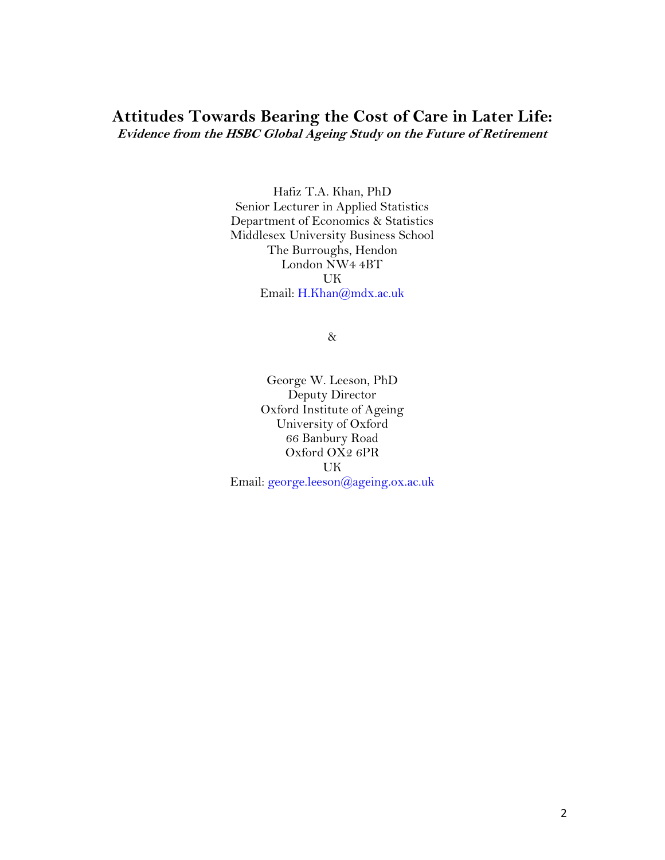### **Attitudes Towards Bearing the Cost of Care in Later Life: Evidence from the HSBC Global Ageing Study on the Future of Retirement**

Hafiz T.A. Khan, PhD Senior Lecturer in Applied Statistics Department of Economics & Statistics Middlesex University Business School The Burroughs, Hendon London NW4 4BT UK Email: [H.Khan@mdx.ac.uk](mailto:H.Khan@mdx.ac.uk)

&

George W. Leeson, PhD Deputy Director Oxford Institute of Ageing University of Oxford 66 Banbury Road Oxford OX2 6PR UK Email: [george.leeson@ageing.ox.ac.uk](mailto:george.leeson@ageing.ox.ac.uk)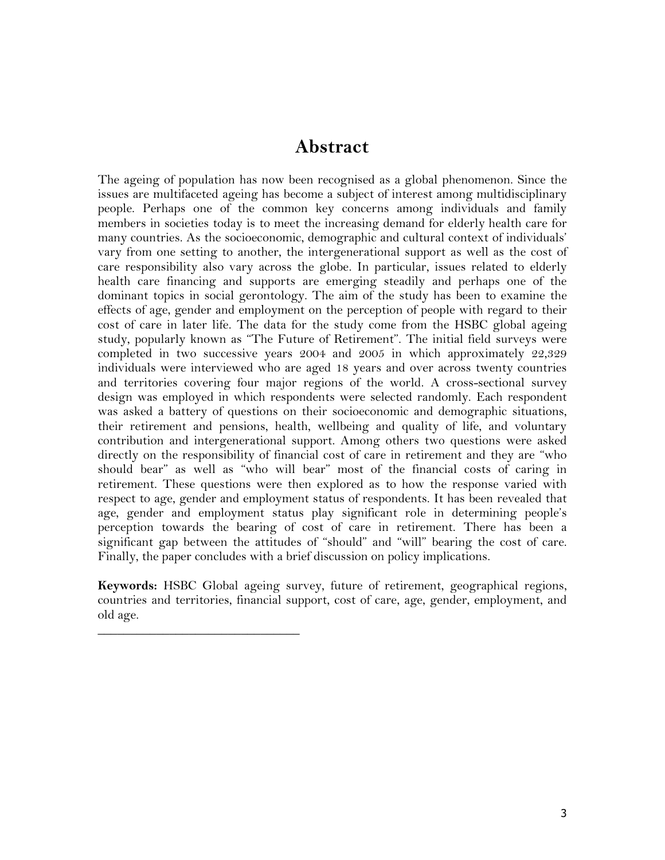### **Abstract**

The ageing of population has now been recognised as a global phenomenon. Since the issues are multifaceted ageing has become a subject of interest among multidisciplinary people. Perhaps one of the common key concerns among individuals and family members in societies today is to meet the increasing demand for elderly health care for many countries. As the socioeconomic, demographic and cultural context of individuals" vary from one setting to another, the intergenerational support as well as the cost of care responsibility also vary across the globe. In particular, issues related to elderly health care financing and supports are emerging steadily and perhaps one of the dominant topics in social gerontology. The aim of the study has been to examine the effects of age, gender and employment on the perception of people with regard to their cost of care in later life. The data for the study come from the HSBC global ageing study, popularly known as "The Future of Retirement". The initial field surveys were completed in two successive years 2004 and 2005 in which approximately 22,329 individuals were interviewed who are aged 18 years and over across twenty countries and territories covering four major regions of the world. A cross-sectional survey design was employed in which respondents were selected randomly. Each respondent was asked a battery of questions on their socioeconomic and demographic situations, their retirement and pensions, health, wellbeing and quality of life, and voluntary contribution and intergenerational support. Among others two questions were asked directly on the responsibility of financial cost of care in retirement and they are "who should bear" as well as "who will bear" most of the financial costs of caring in retirement. These questions were then explored as to how the response varied with respect to age, gender and employment status of respondents. It has been revealed that age, gender and employment status play significant role in determining people's perception towards the bearing of cost of care in retirement. There has been a significant gap between the attitudes of "should" and "will" bearing the cost of care. Finally, the paper concludes with a brief discussion on policy implications.

**Keywords:** HSBC Global ageing survey, future of retirement, geographical regions, countries and territories, financial support, cost of care, age, gender, employment, and old age.

 $\overline{\phantom{a}}$  , where  $\overline{\phantom{a}}$  , where  $\overline{\phantom{a}}$  , where  $\overline{\phantom{a}}$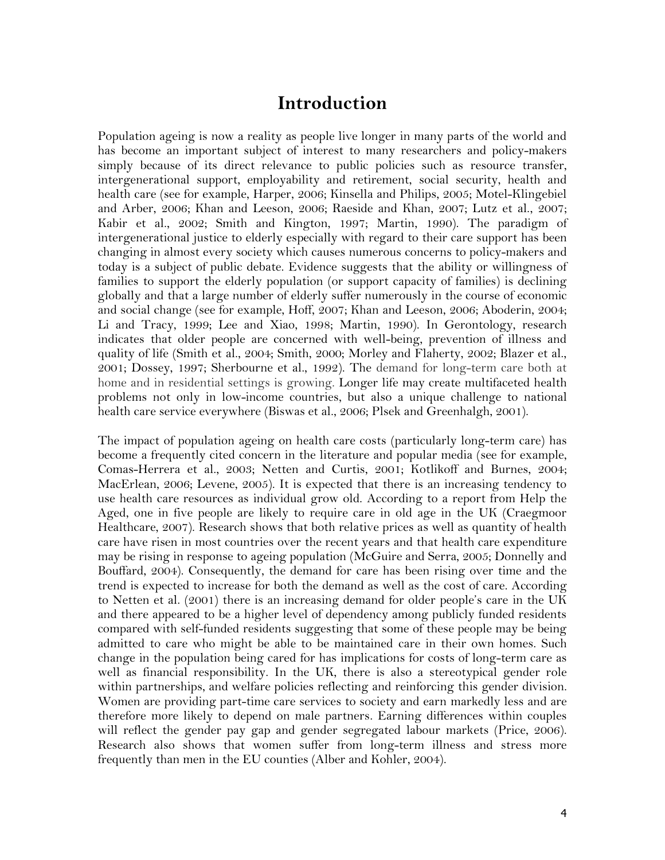### **Introduction**

Population ageing is now a reality as people live longer in many parts of the world and has become an important subject of interest to many researchers and policy-makers simply because of its direct relevance to public policies such as resource transfer, intergenerational support, employability and retirement, social security, health and health care (see for example, Harper, 2006; Kinsella and Philips, 2005; Motel-Klingebiel and Arber, 2006; Khan and Leeson, 2006; Raeside and Khan, 2007; Lutz et al., 2007; Kabir et al., 2002; Smith and Kington, 1997; Martin, 1990). The paradigm of intergenerational justice to elderly especially with regard to their care support has been changing in almost every society which causes numerous concerns to policy-makers and today is a subject of public debate. Evidence suggests that the ability or willingness of families to support the elderly population (or support capacity of families) is declining globally and that a large number of elderly suffer numerously in the course of economic and social change (see for example, Hoff, 2007; Khan and Leeson, 2006; Aboderin, 2004; Li and Tracy, 1999; Lee and Xiao, 1998; Martin, 1990). In Gerontology, research indicates that older people are concerned with well-being, prevention of illness and quality of life (Smith et al., 2004; Smith, 2000; Morley and Flaherty, 2002; Blazer et al., 2001; Dossey, 1997; Sherbourne et al., 1992). The demand for long-term care both at home and in residential settings is growing. Longer life may create multifaceted health problems not only in low-income countries, but also a unique challenge to national health care service everywhere (Biswas et al., 2006; Plsek and Greenhalgh, 2001).

The impact of population ageing on health care costs (particularly long-term care) has become a frequently cited concern in the literature and popular media (see for example, Comas-Herrera et al., 2003; Netten and Curtis, 2001; Kotlikoff and Burnes, 2004; MacErlean, 2006; Levene, 2005). It is expected that there is an increasing tendency to use health care resources as individual grow old. According to a report from Help the Aged, one in five people are likely to require care in old age in the UK (Craegmoor Healthcare, 2007). Research shows that both relative prices as well as quantity of health care have risen in most countries over the recent years and that health care expenditure may be rising in response to ageing population (McGuire and Serra, 2005; Donnelly and Bouffard, 2004). Consequently, the demand for care has been rising over time and the trend is expected to increase for both the demand as well as the cost of care. According to Netten et al. (2001) there is an increasing demand for older people's care in the UK and there appeared to be a higher level of dependency among publicly funded residents compared with self-funded residents suggesting that some of these people may be being admitted to care who might be able to be maintained care in their own homes. Such change in the population being cared for has implications for costs of long-term care as well as financial responsibility. In the UK, there is also a stereotypical gender role within partnerships, and welfare policies reflecting and reinforcing this gender division. Women are providing part-time care services to society and earn markedly less and are therefore more likely to depend on male partners. Earning differences within couples will reflect the gender pay gap and gender segregated labour markets (Price, 2006). Research also shows that women suffer from long-term illness and stress more frequently than men in the EU counties (Alber and Kohler, 2004).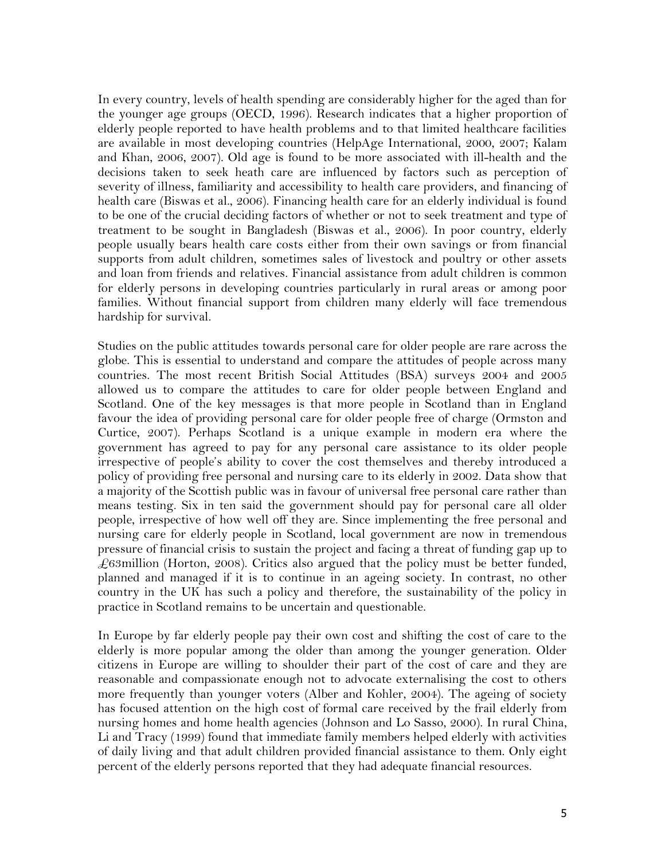In every country, levels of health spending are considerably higher for the aged than for the younger age groups (OECD, 1996). Research indicates that a higher proportion of elderly people reported to have health problems and to that limited healthcare facilities are available in most developing countries (HelpAge International, 2000, 2007; Kalam and Khan, 2006, 2007). Old age is found to be more associated with ill-health and the decisions taken to seek heath care are influenced by factors such as perception of severity of illness, familiarity and accessibility to health care providers, and financing of health care (Biswas et al., 2006). Financing health care for an elderly individual is found to be one of the crucial deciding factors of whether or not to seek treatment and type of treatment to be sought in Bangladesh (Biswas et al., 2006). In poor country, elderly people usually bears health care costs either from their own savings or from financial supports from adult children, sometimes sales of livestock and poultry or other assets and loan from friends and relatives. Financial assistance from adult children is common for elderly persons in developing countries particularly in rural areas or among poor families. Without financial support from children many elderly will face tremendous hardship for survival.

Studies on the public attitudes towards personal care for older people are rare across the globe. This is essential to understand and compare the attitudes of people across many countries. The most recent British Social Attitudes (BSA) surveys 2004 and 2005 allowed us to compare the attitudes to care for older people between England and Scotland. One of the key messages is that more people in Scotland than in England favour the idea of providing personal care for older people free of charge (Ormston and Curtice, 2007). Perhaps Scotland is a unique example in modern era where the government has agreed to pay for any personal care assistance to its older people irrespective of people's ability to cover the cost themselves and thereby introduced a policy of providing free personal and nursing care to its elderly in 2002. Data show that a majority of the Scottish public was in favour of universal free personal care rather than means testing. Six in ten said the government should pay for personal care all older people, irrespective of how well off they are. Since implementing the free personal and nursing care for elderly people in Scotland, local government are now in tremendous pressure of financial crisis to sustain the project and facing a threat of funding gap up to  $\text{\textsterling}63$ million (Horton, 2008). Critics also argued that the policy must be better funded, planned and managed if it is to continue in an ageing society. In contrast, no other country in the UK has such a policy and therefore, the sustainability of the policy in practice in Scotland remains to be uncertain and questionable.

In Europe by far elderly people pay their own cost and shifting the cost of care to the elderly is more popular among the older than among the younger generation. Older citizens in Europe are willing to shoulder their part of the cost of care and they are reasonable and compassionate enough not to advocate externalising the cost to others more frequently than younger voters (Alber and Kohler, 2004). The ageing of society has focused attention on the high cost of formal care received by the frail elderly from nursing homes and home health agencies (Johnson and Lo Sasso, 2000). In rural China, Li and Tracy (1999) found that immediate family members helped elderly with activities of daily living and that adult children provided financial assistance to them. Only eight percent of the elderly persons reported that they had adequate financial resources.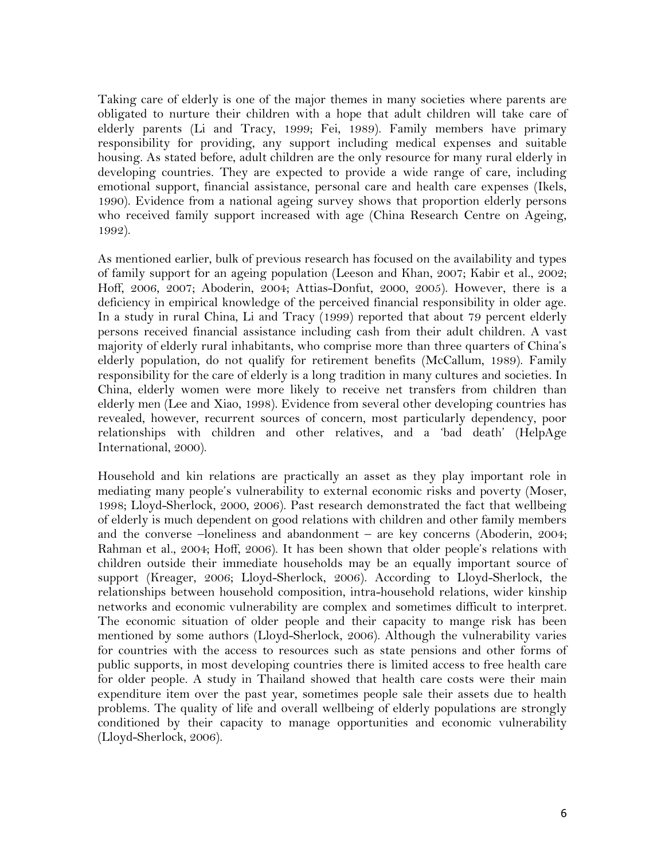Taking care of elderly is one of the major themes in many societies where parents are obligated to nurture their children with a hope that adult children will take care of elderly parents (Li and Tracy, 1999; Fei, 1989). Family members have primary responsibility for providing, any support including medical expenses and suitable housing. As stated before, adult children are the only resource for many rural elderly in developing countries. They are expected to provide a wide range of care, including emotional support, financial assistance, personal care and health care expenses (Ikels, 1990). Evidence from a national ageing survey shows that proportion elderly persons who received family support increased with age (China Research Centre on Ageing, 1992).

As mentioned earlier, bulk of previous research has focused on the availability and types of family support for an ageing population (Leeson and Khan, 2007; Kabir et al., 2002; Hoff, 2006, 2007; Aboderin, 2004; Attias-Donfut, 2000, 2005). However, there is a deficiency in empirical knowledge of the perceived financial responsibility in older age. In a study in rural China, Li and Tracy (1999) reported that about 79 percent elderly persons received financial assistance including cash from their adult children. A vast majority of elderly rural inhabitants, who comprise more than three quarters of China"s elderly population, do not qualify for retirement benefits (McCallum, 1989). Family responsibility for the care of elderly is a long tradition in many cultures and societies. In China, elderly women were more likely to receive net transfers from children than elderly men (Lee and Xiao, 1998). Evidence from several other developing countries has revealed, however, recurrent sources of concern, most particularly dependency, poor relationships with children and other relatives, and a "bad death" (HelpAge International, 2000).

Household and kin relations are practically an asset as they play important role in mediating many people"s vulnerability to external economic risks and poverty (Moser, 1998; Lloyd-Sherlock, 2000, 2006). Past research demonstrated the fact that wellbeing of elderly is much dependent on good relations with children and other family members and the converse –loneliness and abandonment – are key concerns (Aboderin, 2004; Rahman et al., 2004; Hoff, 2006). It has been shown that older people's relations with children outside their immediate households may be an equally important source of support (Kreager, 2006; Lloyd-Sherlock, 2006). According to Lloyd-Sherlock, the relationships between household composition, intra-household relations, wider kinship networks and economic vulnerability are complex and sometimes difficult to interpret. The economic situation of older people and their capacity to mange risk has been mentioned by some authors (Lloyd-Sherlock, 2006). Although the vulnerability varies for countries with the access to resources such as state pensions and other forms of public supports, in most developing countries there is limited access to free health care for older people. A study in Thailand showed that health care costs were their main expenditure item over the past year, sometimes people sale their assets due to health problems. The quality of life and overall wellbeing of elderly populations are strongly conditioned by their capacity to manage opportunities and economic vulnerability (Lloyd-Sherlock, 2006).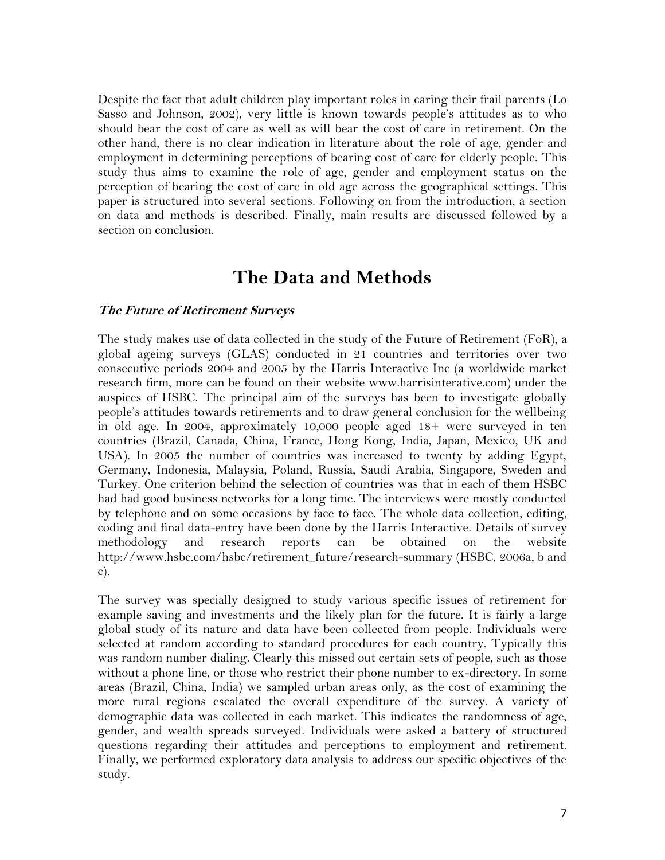Despite the fact that adult children play important roles in caring their frail parents (Lo Sasso and Johnson, 2002), very little is known towards people"s attitudes as to who should bear the cost of care as well as will bear the cost of care in retirement. On the other hand, there is no clear indication in literature about the role of age, gender and employment in determining perceptions of bearing cost of care for elderly people. This study thus aims to examine the role of age, gender and employment status on the perception of bearing the cost of care in old age across the geographical settings. This paper is structured into several sections. Following on from the introduction, a section on data and methods is described. Finally, main results are discussed followed by a section on conclusion.

### **The Data and Methods**

#### **The Future of Retirement Surveys**

The study makes use of data collected in the study of the Future of Retirement (FoR), a global ageing surveys (GLAS) conducted in 21 countries and territories over two consecutive periods 2004 and 2005 by the Harris Interactive Inc (a worldwide market research firm, more can be found on their website www.harrisinterative.com) under the auspices of HSBC. The principal aim of the surveys has been to investigate globally people"s attitudes towards retirements and to draw general conclusion for the wellbeing in old age. In 2004, approximately 10,000 people aged 18+ were surveyed in ten countries (Brazil, Canada, China, France, Hong Kong, India, Japan, Mexico, UK and USA). In 2005 the number of countries was increased to twenty by adding Egypt, Germany, Indonesia, Malaysia, Poland, Russia, Saudi Arabia, Singapore, Sweden and Turkey. One criterion behind the selection of countries was that in each of them HSBC had had good business networks for a long time. The interviews were mostly conducted by telephone and on some occasions by face to face. The whole data collection, editing, coding and final data-entry have been done by the Harris Interactive. Details of survey methodology and research reports can be obtained on the website http://www.hsbc.com/hsbc/retirement\_future/research-summary (HSBC, 2006a, b and c).

The survey was specially designed to study various specific issues of retirement for example saving and investments and the likely plan for the future. It is fairly a large global study of its nature and data have been collected from people. Individuals were selected at random according to standard procedures for each country. Typically this was random number dialing. Clearly this missed out certain sets of people, such as those without a phone line, or those who restrict their phone number to ex-directory. In some areas (Brazil, China, India) we sampled urban areas only, as the cost of examining the more rural regions escalated the overall expenditure of the survey. A variety of demographic data was collected in each market. This indicates the randomness of age, gender, and wealth spreads surveyed. Individuals were asked a battery of structured questions regarding their attitudes and perceptions to employment and retirement. Finally, we performed exploratory data analysis to address our specific objectives of the study.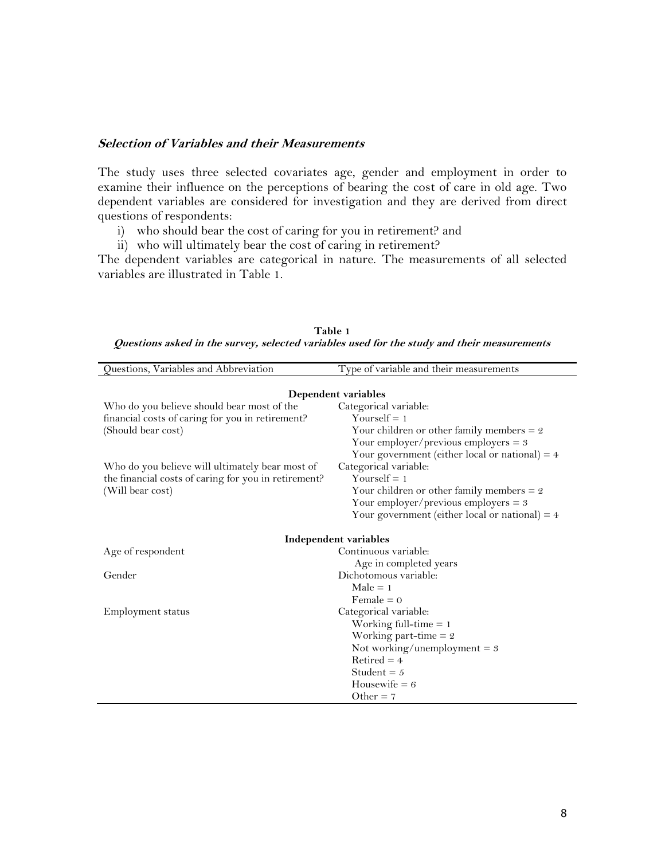#### **Selection of Variables and their Measurements**

The study uses three selected covariates age, gender and employment in order to examine their influence on the perceptions of bearing the cost of care in old age. Two dependent variables are considered for investigation and they are derived from direct questions of respondents:

- i) who should bear the cost of caring for you in retirement? and
- ii) who will ultimately bear the cost of caring in retirement?

The dependent variables are categorical in nature. The measurements of all selected variables are illustrated in Table 1.

| Type of variable and their measurements          |
|--------------------------------------------------|
|                                                  |
| Dependent variables                              |
| Categorical variable:                            |
| Yourself = $1$                                   |
| Your children or other family members $= 2$      |
| Your employer/previous employers $= 3$           |
| Your government (either local or national) = $4$ |
| Categorical variable:                            |
| Yourself $= 1$                                   |
| Your children or other family members $= 2$      |
| Your employer/previous employers $= 3$           |
| Your government (either local or national) = $4$ |
|                                                  |
| Independent variables                            |
| Continuous variable:                             |
| Age in completed years                           |
| Dichotomous variable:                            |
| $Male = 1$                                       |
| Female $= 0$                                     |
| Categorical variable:                            |
| Working full-time $= 1$                          |
| Working part-time $= 2$                          |
| Not working/unemployment = $3$                   |
| Retired $=$ 4                                    |
| Student = $5$                                    |
| Housewife $= 6$                                  |
| Other $= 7$                                      |
|                                                  |

**Table 1 Questions asked in the survey, selected variables used for the study and their measurements**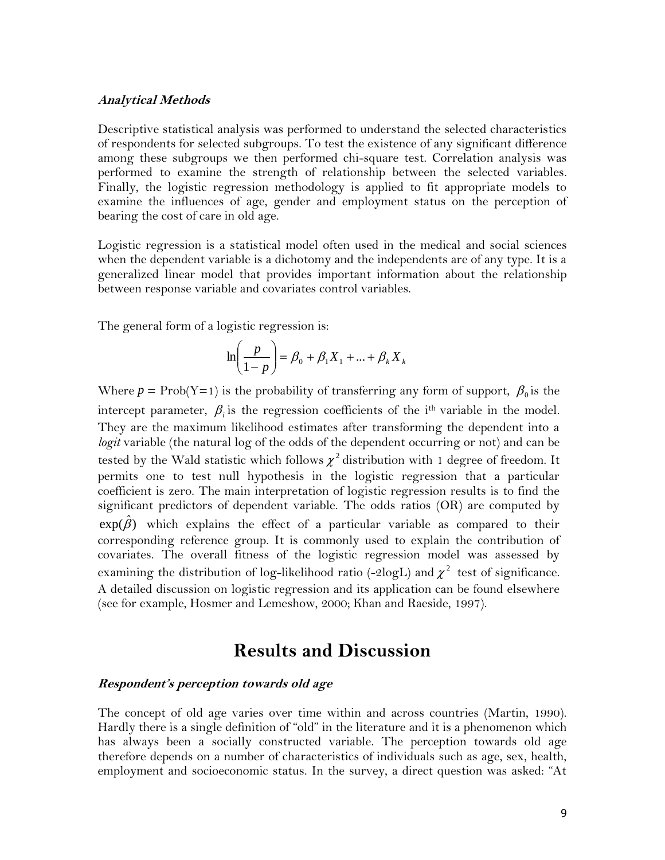#### **Analytical Methods**

Descriptive statistical analysis was performed to understand the selected characteristics of respondents for selected subgroups. To test the existence of any significant difference among these subgroups we then performed chi-square test. Correlation analysis was performed to examine the strength of relationship between the selected variables. Finally, the logistic regression methodology is applied to fit appropriate models to examine the influences of age, gender and employment status on the perception of bearing the cost of care in old age.

Logistic regression is a statistical model often used in the medical and social sciences when the dependent variable is a dichotomy and the independents are of any type. It is a generalized linear model that provides important information about the relationship between response variable and covariates control variables.

The general form of a logistic regression is:

$$
\ln\left(\frac{p}{1-p}\right) = \beta_0 + \beta_1 X_1 + \dots + \beta_k X_k
$$

Where  $p = \text{Prob}(Y=1)$  is the probability of transferring any form of support,  $\beta_0$  is the intercept parameter,  $\beta_i$  is the regression coefficients of the i<sup>th</sup> variable in the model. They are the maximum likelihood estimates after transforming the dependent into a *logit* variable (the natural log of the odds of the dependent occurring or not) and can be tested by the Wald statistic which follows  $\chi^2$  distribution with 1 degree of freedom. It permits one to test null hypothesis in the logistic regression that a particular coefficient is zero. The main interpretation of logistic regression results is to find the significant predictors of dependent variable. The odds ratios (OR) are computed by  $\exp(\hat{\beta})$  which explains the effect of a particular variable as compared to their corresponding reference group. It is commonly used to explain the contribution of covariates. The overall fitness of the logistic regression model was assessed by examining the distribution of log-likelihood ratio (-2logL) and  $\chi^2$  test of significance. A detailed discussion on logistic regression and its application can be found elsewhere (see for example, Hosmer and Lemeshow, 2000; Khan and Raeside, 1997).

### **Results and Discussion**

#### **Respondent's perception towards old age**

The concept of old age varies over time within and across countries (Martin, 1990). Hardly there is a single definition of "old" in the literature and it is a phenomenon which has always been a socially constructed variable. The perception towards old age therefore depends on a number of characteristics of individuals such as age, sex, health, employment and socioeconomic status. In the survey, a direct question was asked: "At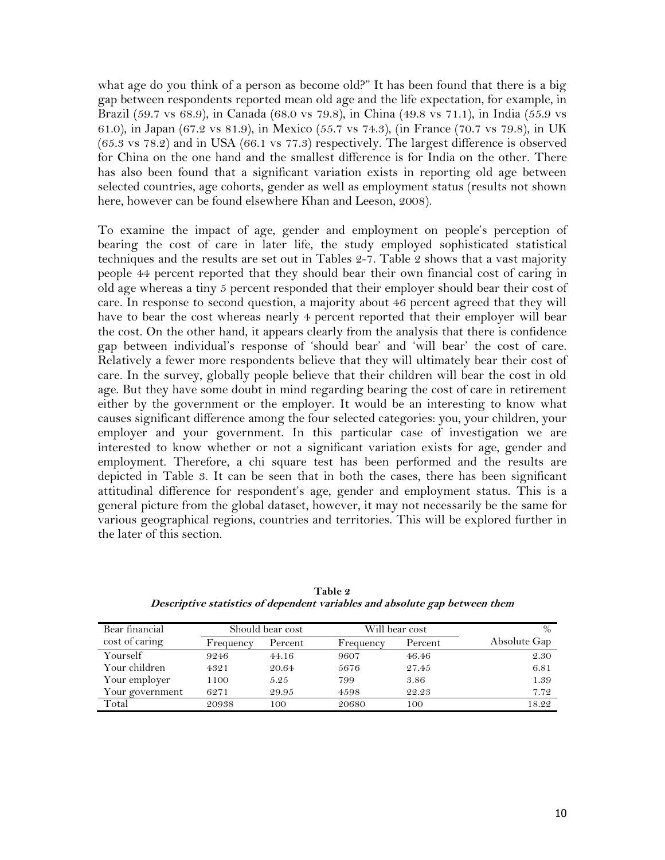what age do you think of a person as become old?" It has been found that there is a big gap between respondents reported mean old age and the life expectation, for example, in Brazil (59.7 vs 68.9), in Canada (68.0 vs 79.8), in China (49.8 vs 71.1), in India (55.9 vs 61.0), in Japan (67.2 vs 81.9), in Mexico (55.7 vs 74.3), (in France (70.7 vs 79.8), in UK (65.3 vs 78.2) and in USA (66.1 vs 77.3) respectively. The largest difference is observed for China on the one hand and the smallest difference is for India on the other. There has also been found that a significant variation exists in reporting old age between selected countries, age cohorts, gender as well as employment status (results not shown here, however can be found elsewhere Khan and Leeson, 2008).

To examine the impact of age, gender and employment on people's perception of bearing the cost of care in later life, the study employed sophisticated statistical techniques and the results are set out in Tables 2-7. Table 2 shows that a vast majority people 44 percent reported that they should bear their own financial cost of caring in old age whereas a tiny 5 percent responded that their employer should bear their cost of care. In response to second question, a majority about 46 percent agreed that they will have to bear the cost whereas nearly 4 percent reported that their employer will bear the cost. On the other hand, it appears clearly from the analysis that there is confidence gap between individual"s response of "should bear" and "will bear" the cost of care. Relatively a fewer more respondents believe that they will ultimately bear their cost of care. In the survey, globally people believe that their children will bear the cost in old age. But they have some doubt in mind regarding bearing the cost of care in retirement either by the government or the employer. It would be an interesting to know what causes significant difference among the four selected categories: you, your children, your employer and your government. In this particular case of investigation we are interested to know whether or not a significant variation exists for age, gender and employment. Therefore, a chi square test has been performed and the results are depicted in Table 3. It can be seen that in both the cases, there has been significant attitudinal difference for respondent's age, gender and employment status. This is a general picture from the global dataset, however, it may not necessarily be the same for various geographical regions, countries and territories. This will be explored further in the later of this section.

| Bear financial  | Should bear cost |         | Will bear cost | $\frac{0}{0}$ |              |
|-----------------|------------------|---------|----------------|---------------|--------------|
| cost of caring  | Frequency        | Percent | Frequency      | Percent       | Absolute Gap |
| Yourself        | 9246             | 44.16   | 9607           | 46.46         | 2.30         |
| Your children   | 4321             | 20.64   | 5676           | 27.45         | 6.81         |
| Your employer   | 1100             | 5.25    | 799            | 3.86          | 1.39         |
| Your government | 6271             | 29.95   | 4598           | 22.23         | 7.72         |
| Total           | 20938            | 100     | 20680          | 100           | 18.22        |

**Table 2 Descriptive statistics of dependent variables and absolute gap between them**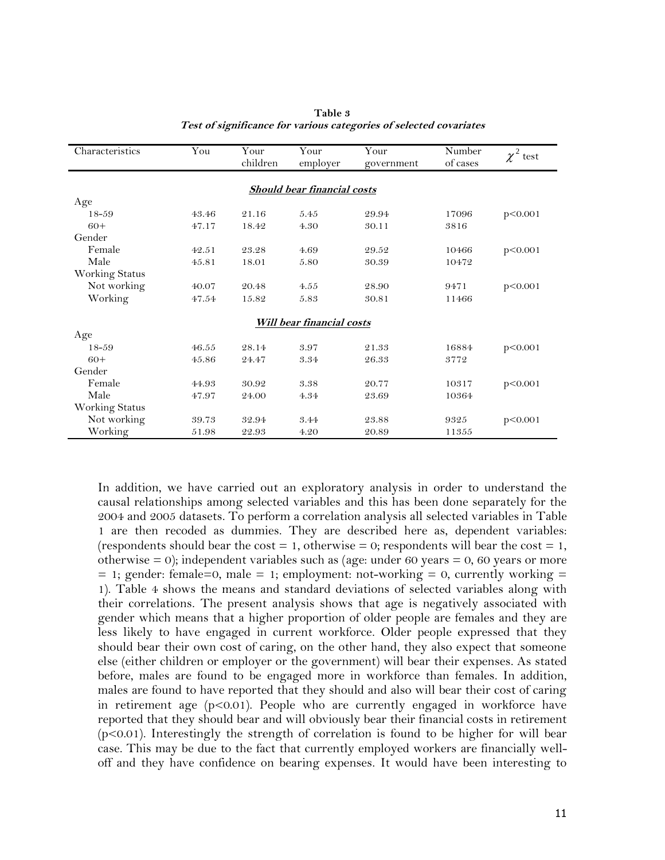| Characteristics       | You   | Your     | Your                               | Your       | Number   | $\chi^2$ test |
|-----------------------|-------|----------|------------------------------------|------------|----------|---------------|
|                       |       | children | employer                           | government | of cases |               |
|                       |       |          |                                    |            |          |               |
|                       |       |          | <b>Should bear financial costs</b> |            |          |               |
| Age                   |       |          |                                    |            |          |               |
| $18 - 59$             | 43.46 | 21.16    | 5.45                               | 29.94      | 17096    | p < 0.001     |
| $60+$                 | 47.17 | 18.42    | 4.30                               | 30.11      | 3816     |               |
| Gender                |       |          |                                    |            |          |               |
| Female                | 42.51 | 23.28    | 4.69                               | 29.52      | 10466    | p<0.001       |
| Male                  | 45.81 | 18.01    | 5.80                               | 30.39      | 10472    |               |
| <b>Working Status</b> |       |          |                                    |            |          |               |
| Not working           | 40.07 | 20.48    | 4.55                               | 28.90      | 9471     | p<0.001       |
| Working               | 47.54 | 15.82    | 5.83                               | 30.81      | 11466    |               |
|                       |       |          |                                    |            |          |               |
|                       |       |          | <b>Will bear financial costs</b>   |            |          |               |
| Age                   |       |          |                                    |            |          |               |
| $18 - 59$             | 46.55 | 28.14    | 3.97                               | 21.33      | 16884    | p<0.001       |
| $60+$                 | 45.86 | 24.47    | 3.34                               | 26.33      | 3772     |               |
| Gender                |       |          |                                    |            |          |               |
| Female                | 44.93 | 30.92    | 3.38                               | 20.77      | 10317    | p<0.001       |
| Male                  | 47.97 | 24.00    | 4.34                               | 23.69      | 10364    |               |
| Working Status        |       |          |                                    |            |          |               |
| Not working           | 39.73 | 32.94    | 3.44                               | 23.88      | 9325     | p<0.001       |
| Working               | 51.98 | 22.93    | 4.20                               | 20.89      | 11355    |               |

| Table 3                                                            |
|--------------------------------------------------------------------|
| Test of significance for various categories of selected covariates |

In addition, we have carried out an exploratory analysis in order to understand the causal relationships among selected variables and this has been done separately for the 2004 and 2005 datasets. To perform a correlation analysis all selected variables in Table 1 are then recoded as dummies. They are described here as, dependent variables: (respondents should bear the cost  $= 1$ , otherwise  $= 0$ ; respondents will bear the cost  $= 1$ , otherwise  $= 0$ ; independent variables such as (age: under 60 years  $= 0$ , 60 years or more  $= 1$ ; gender: female=0, male  $= 1$ ; employment: not-working  $= 0$ , currently working  $=$ 1). Table 4 shows the means and standard deviations of selected variables along with their correlations. The present analysis shows that age is negatively associated with gender which means that a higher proportion of older people are females and they are less likely to have engaged in current workforce. Older people expressed that they should bear their own cost of caring, on the other hand, they also expect that someone else (either children or employer or the government) will bear their expenses. As stated before, males are found to be engaged more in workforce than females. In addition, males are found to have reported that they should and also will bear their cost of caring in retirement age (p<0.01). People who are currently engaged in workforce have reported that they should bear and will obviously bear their financial costs in retirement (p<0.01). Interestingly the strength of correlation is found to be higher for will bear case. This may be due to the fact that currently employed workers are financially welloff and they have confidence on bearing expenses. It would have been interesting to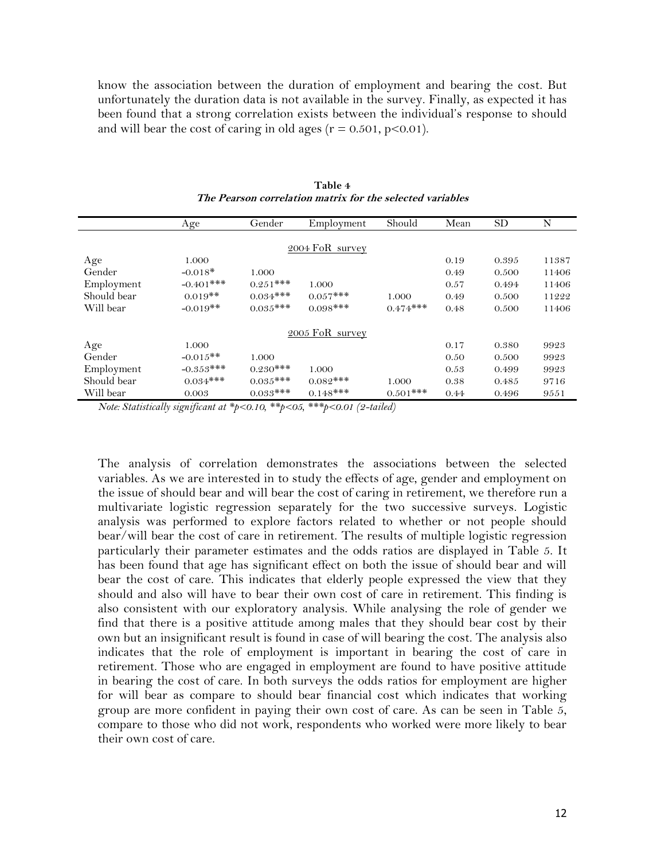know the association between the duration of employment and bearing the cost. But unfortunately the duration data is not available in the survey. Finally, as expected it has been found that a strong correlation exists between the individual"s response to should and will bear the cost of caring in old ages ( $r = 0.501$ ,  $p < 0.01$ ).

|             | Age          | Gender     | Employment      | Should      | Mean | SD    | N     |
|-------------|--------------|------------|-----------------|-------------|------|-------|-------|
|             |              |            |                 |             |      |       |       |
|             |              |            | 2004 FoR survey |             |      |       |       |
| Age         | 1.000        |            |                 |             | 0.19 | 0.395 | 11387 |
| Gender      | $-0.018*$    | 1.000      |                 |             | 0.49 | 0.500 | 11406 |
| Employment  | $-0.401$ *** | $0.251***$ | 1.000           |             | 0.57 | 0.494 | 11406 |
| Should bear | $0.019**$    | $0.034***$ | $0.057***$      | 1.000       | 0.49 | 0.500 | 11222 |
| Will bear   | $-0.019**$   | $0.035***$ | $0.098***$      | $0.474***$  | 0.48 | 0.500 | 11406 |
|             |              |            | 2005 FoR survey |             |      |       |       |
| Age         | 1.000        |            |                 |             | 0.17 | 0.380 | 9923  |
| Gender      | $-0.015**$   | 1.000      |                 |             | 0.50 | 0.500 | 9923  |
| Employment  | $-0.353***$  | $0.230***$ | 1.000           |             | 0.53 | 0.499 | 9923  |
| Should bear | $0.034***$   | $0.035***$ | $0.082***$      | 1.000       | 0.38 | 0.485 | 9716  |
| Will bear   | 0.003        | $0.033***$ | $0.148***$      | $0.501$ *** | 0.44 | 0.496 | 9551  |

**Table 4 The Pearson correlation matrix for the selected variables**

*Note: Statistically significant at \*p<0.10, \*\*p<05, \*\*\*p<0.01 (2-tailed)*

The analysis of correlation demonstrates the associations between the selected variables. As we are interested in to study the effects of age, gender and employment on the issue of should bear and will bear the cost of caring in retirement, we therefore run a multivariate logistic regression separately for the two successive surveys. Logistic analysis was performed to explore factors related to whether or not people should bear/will bear the cost of care in retirement. The results of multiple logistic regression particularly their parameter estimates and the odds ratios are displayed in Table 5. It has been found that age has significant effect on both the issue of should bear and will bear the cost of care. This indicates that elderly people expressed the view that they should and also will have to bear their own cost of care in retirement. This finding is also consistent with our exploratory analysis. While analysing the role of gender we find that there is a positive attitude among males that they should bear cost by their own but an insignificant result is found in case of will bearing the cost. The analysis also indicates that the role of employment is important in bearing the cost of care in retirement. Those who are engaged in employment are found to have positive attitude in bearing the cost of care. In both surveys the odds ratios for employment are higher for will bear as compare to should bear financial cost which indicates that working group are more confident in paying their own cost of care. As can be seen in Table 5, compare to those who did not work, respondents who worked were more likely to bear their own cost of care.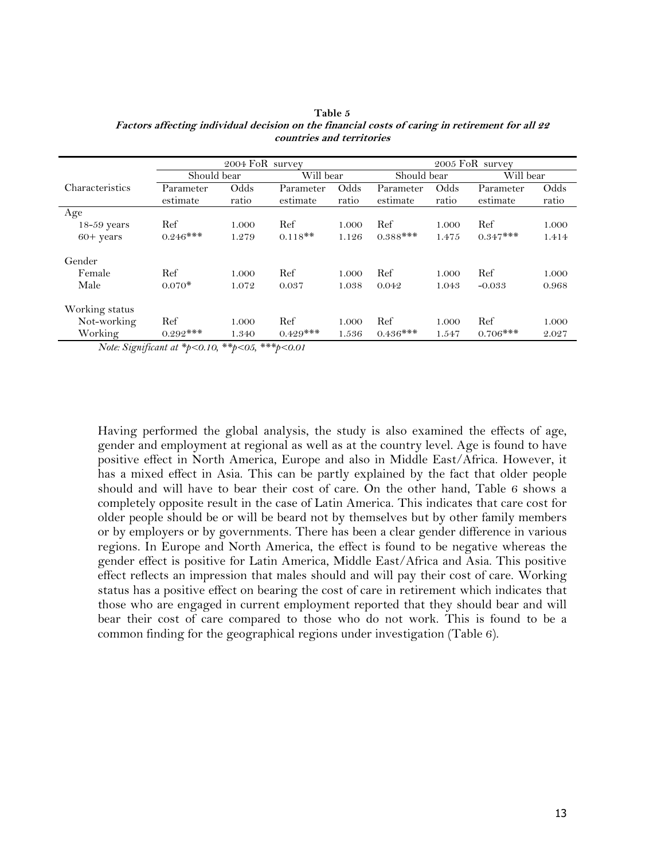|                                                                                                                                                                                                                                                                                                                                               |             | 2005 FoR survey                           |            |       |             |       |            |           |  |
|-----------------------------------------------------------------------------------------------------------------------------------------------------------------------------------------------------------------------------------------------------------------------------------------------------------------------------------------------|-------------|-------------------------------------------|------------|-------|-------------|-------|------------|-----------|--|
|                                                                                                                                                                                                                                                                                                                                               | Should bear |                                           | Will bear  |       | Should bear |       |            | Will bear |  |
| Characteristics                                                                                                                                                                                                                                                                                                                               | Parameter   | Odds                                      | Parameter  | Odds  | Parameter   | Odds  | Parameter  | Odds      |  |
|                                                                                                                                                                                                                                                                                                                                               | estimate    | ratio                                     | estimate   | ratio | estimate    | ratio | estimate   | ratio     |  |
| Age                                                                                                                                                                                                                                                                                                                                           |             |                                           |            |       |             |       |            |           |  |
| $18-59$ years                                                                                                                                                                                                                                                                                                                                 | Ref         | 1.000                                     | Ref        | 1.000 | Ref         | 1.000 | Ref        | 1.000     |  |
| $60+$ years                                                                                                                                                                                                                                                                                                                                   | $0.246***$  | 1.279                                     | $0.118**$  | 1.126 | $0.388***$  | 1.475 | $0.347***$ | 1.414     |  |
| Gender                                                                                                                                                                                                                                                                                                                                        |             |                                           |            |       |             |       |            |           |  |
| Female                                                                                                                                                                                                                                                                                                                                        | Ref         | 1.000                                     | Ref        | 1.000 | Ref         | 1.000 | Ref        | 1.000     |  |
| Male                                                                                                                                                                                                                                                                                                                                          | $0.070*$    | 1.072                                     | 0.037      | 1.038 | 0.042       | 1.043 | $-0.033$   | 0.968     |  |
| Working status                                                                                                                                                                                                                                                                                                                                |             |                                           |            |       |             |       |            |           |  |
| Not-working                                                                                                                                                                                                                                                                                                                                   | Ref         | 1.000                                     | Ref        | 1.000 | Ref         | 1.000 | Ref        | 1.000     |  |
| Working<br>$\mathbf{v}$ $\mathbf{v}$ $\mathbf{v}$ $\mathbf{v}$ $\mathbf{v}$ $\mathbf{v}$ $\mathbf{v}$ $\mathbf{v}$ $\mathbf{v}$ $\mathbf{v}$ $\mathbf{v}$ $\mathbf{v}$ $\mathbf{v}$ $\mathbf{v}$ $\mathbf{v}$ $\mathbf{v}$ $\mathbf{v}$ $\mathbf{v}$ $\mathbf{v}$ $\mathbf{v}$ $\mathbf{v}$ $\mathbf{v}$ $\mathbf{v}$ $\mathbf{v}$ $\mathbf{$ | $0.292***$  | 1.340<br>ste ste i<br>and the state state | $0.429***$ | 1.536 | $0.436***$  | 1.547 | $0.706***$ | 2.027     |  |

**Table 5 Factors affecting individual decision on the financial costs of caring in retirement for all 22 countries and territories**

*Note: Significant at \*p<0.10, \*\*p<05, \*\*\*p<0.01*

Having performed the global analysis, the study is also examined the effects of age, gender and employment at regional as well as at the country level. Age is found to have positive effect in North America, Europe and also in Middle East/Africa. However, it has a mixed effect in Asia. This can be partly explained by the fact that older people should and will have to bear their cost of care. On the other hand, Table 6 shows a completely opposite result in the case of Latin America. This indicates that care cost for older people should be or will be beard not by themselves but by other family members or by employers or by governments. There has been a clear gender difference in various regions. In Europe and North America, the effect is found to be negative whereas the gender effect is positive for Latin America, Middle East/Africa and Asia. This positive effect reflects an impression that males should and will pay their cost of care. Working status has a positive effect on bearing the cost of care in retirement which indicates that those who are engaged in current employment reported that they should bear and will bear their cost of care compared to those who do not work. This is found to be a common finding for the geographical regions under investigation (Table 6).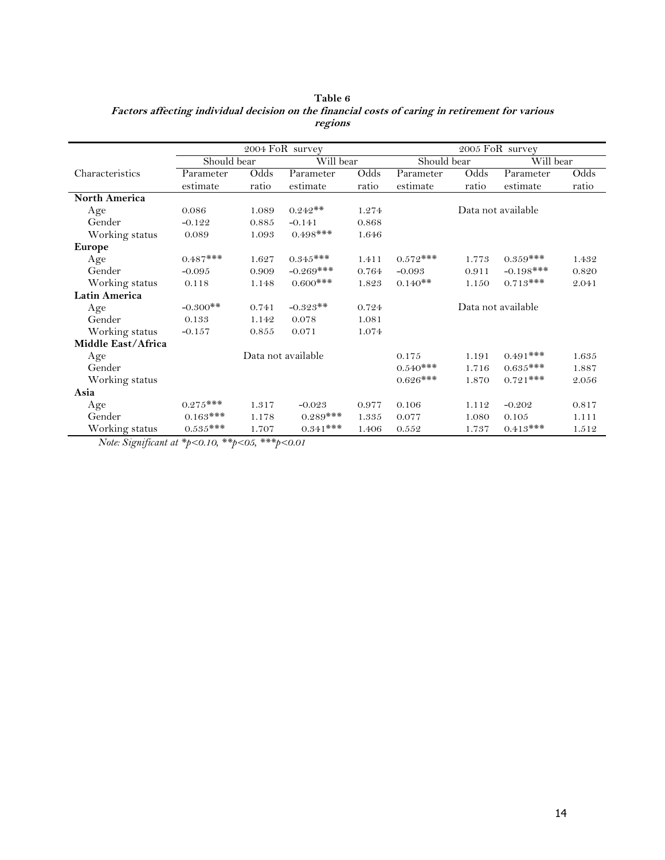|                      | 2004 FoR survey |       |                    |       | 2005 FoR survey |       |                    |       |
|----------------------|-----------------|-------|--------------------|-------|-----------------|-------|--------------------|-------|
|                      | Should bear     |       | Will bear          |       | Should bear     |       | Will bear          |       |
| Characteristics      | Parameter       | Odds  | Parameter          | Odds  | Parameter       | Odds  | Parameter          | Odds  |
|                      | estimate        | ratio | estimate           | ratio | $\rm estimate$  | ratio | estimate           | ratio |
| <b>North America</b> |                 |       |                    |       |                 |       |                    |       |
| Age                  | 0.086           | 1.089 | $0.242**$          | 1.274 |                 |       | Data not available |       |
| Gender               | $-0.122$        | 0.885 | $-0.141$           | 0.868 |                 |       |                    |       |
| Working status       | 0.089           | 1.093 | $0.498$ ***        | 1.646 |                 |       |                    |       |
| <b>Europe</b>        |                 |       |                    |       |                 |       |                    |       |
| Age                  | $0.487***$      | 1.627 | $0.345***$         | 1.411 | $0.572***$      | 1.773 | $0.359***$         | 1.432 |
| Gender               | $-0.095$        | 0.909 | $-0.269***$        | 0.764 | $-0.093$        | 0.911 | $-0.198$ ***       | 0.820 |
| Working status       | 0.118           | 1.148 | $0.600$ ***        | 1.823 | $0.140**$       | 1.150 | $0.713***$         | 2.041 |
| <b>Latin America</b> |                 |       |                    |       |                 |       |                    |       |
| Age                  | $-0.300**$      | 0.741 | $-0.323**$         | 0.724 |                 |       | Data not available |       |
| Gender               | 0.133           | 1.142 | 0.078              | 1.081 |                 |       |                    |       |
| Working status       | $-0.157$        | 0.855 | 0.071              | 1.074 |                 |       |                    |       |
| Middle East/Africa   |                 |       |                    |       |                 |       |                    |       |
| Age                  |                 |       | Data not available |       | 0.175           | 1.191 | $0.491***$         | 1.635 |
| Gender               |                 |       |                    |       | $0.540***$      | 1.716 | $0.635***$         | 1.887 |
| Working status       |                 |       |                    |       | $0.626***$      | 1.870 | $0.721***$         | 2.056 |
| Asia                 |                 |       |                    |       |                 |       |                    |       |
| Age                  | $0.275***$      | 1.317 | $-0.023$           | 0.977 | 0.106           | 1.112 | $-0.202$           | 0.817 |
| Gender               | $0.163***$      | 1.178 | $0.289***$         | 1.335 | 0.077           | 1.080 | 0.105              | 1.111 |
| Working status       | $0.535***$      | 1.707 | $0.341***$         | 1.406 | 0.552           | 1.737 | $0.413***$         | 1.512 |

**Table 6 Factors affecting individual decision on the financial costs of caring in retirement for various regions**

*Note: Significant at \*p<0.10, \*\*p<05, \*\*\*p<0.01*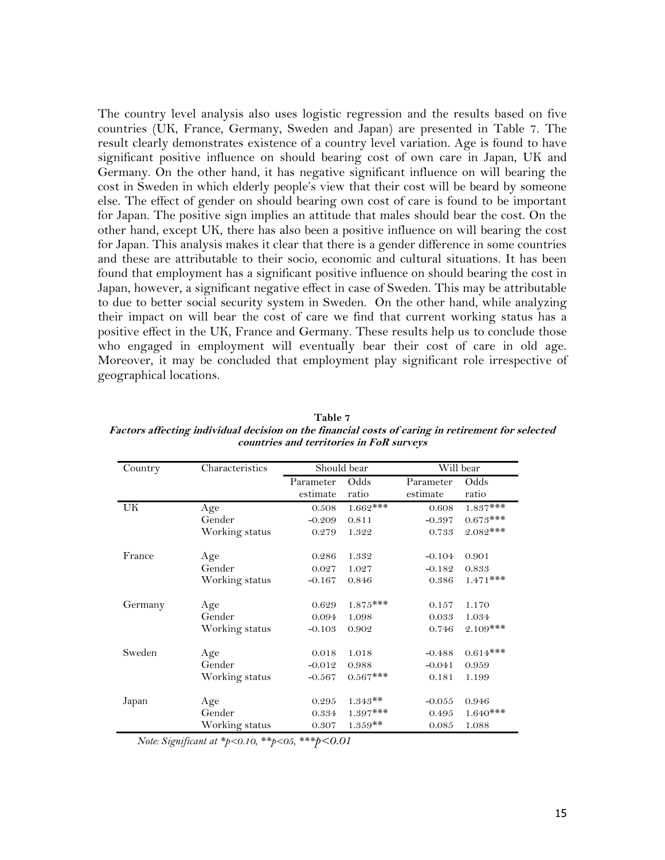The country level analysis also uses logistic regression and the results based on five countries (UK, France, Germany, Sweden and Japan) are presented in Table 7. The result clearly demonstrates existence of a country level variation. Age is found to have significant positive influence on should bearing cost of own care in Japan, UK and Germany. On the other hand, it has negative significant influence on will bearing the cost in Sweden in which elderly people's view that their cost will be beard by someone else. The effect of gender on should bearing own cost of care is found to be important for Japan. The positive sign implies an attitude that males should bear the cost. On the other hand, except UK, there has also been a positive influence on will bearing the cost for Japan. This analysis makes it clear that there is a gender difference in some countries and these are attributable to their socio, economic and cultural situations. It has been found that employment has a significant positive influence on should bearing the cost in Japan, however, a significant negative effect in case of Sweden. This may be attributable to due to better social security system in Sweden. On the other hand, while analyzing their impact on will bear the cost of care we find that current working status has a positive effect in the UK, France and Germany. These results help us to conclude those who engaged in employment will eventually bear their cost of care in old age. Moreover, it may be concluded that employment play significant role irrespective of geographical locations.

| Country | Characteristics |           | Should bear |           | Will bear   |
|---------|-----------------|-----------|-------------|-----------|-------------|
|         |                 | Parameter | Odds        | Parameter | Odds        |
|         |                 | estimate  | ratio       | estimate  | ratio       |
| UK      | Age             | 0.508     | $1.662$ *** | 0.608     | $1.837***$  |
|         | Gender          | $-0.209$  | 0.811       | $-0.397$  | $0.673***$  |
|         | Working status  | 0.279     | 1.322       | 0.733     | $2.082***$  |
| France  | Age             | 0.286     | 1.332       | $-0.104$  | 0.901       |
|         | Gender          | 0.027     | 1.027       | $-0.182$  | 0.833       |
|         | Working status  | $-0.167$  | 0.846       | 0.386     | $1.471$ *** |
| Germany | Age             | 0.629     | $1.875***$  | 0.157     | 1.170       |
|         | Gender          | 0.094     | 1.098       | 0.033     | 1.034       |
|         | Working status  | $-0.103$  | 0.902       | 0.746     | $2.109***$  |
| Sweden  | Age             | 0.018     | 1.018       | $-0.488$  | $0.614***$  |
|         | Gender          | $-0.012$  | 0.988       | $-0.041$  | 0.959       |
|         | Working status  | $-0.567$  | $0.567***$  | 0.181     | 1.199       |
| Japan   | Age             | 0.295     | $1.343**$   | $-0.055$  | 0.946       |
|         | Gender          | 0.334     | $1.397***$  | 0.495     | $1.640***$  |
|         | Working status  | 0.307     | $1.359**$   | 0.085     | 1.088       |

**Table 7 Factors affecting individual decision on the financial costs of caring in retirement for selected countries and territories in FoR surveys**

*Note: Significant at \*p<0.10, \*\*p<05, \*\*\*p<0.01*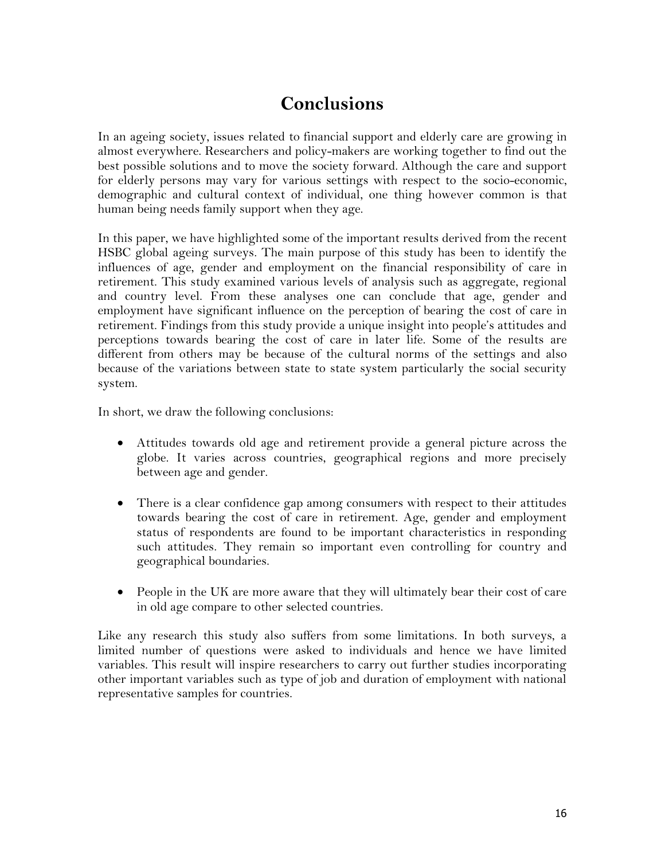# **Conclusions**

In an ageing society, issues related to financial support and elderly care are growing in almost everywhere. Researchers and policy-makers are working together to find out the best possible solutions and to move the society forward. Although the care and support for elderly persons may vary for various settings with respect to the socio-economic, demographic and cultural context of individual, one thing however common is that human being needs family support when they age.

In this paper, we have highlighted some of the important results derived from the recent HSBC global ageing surveys. The main purpose of this study has been to identify the influences of age, gender and employment on the financial responsibility of care in retirement. This study examined various levels of analysis such as aggregate, regional and country level. From these analyses one can conclude that age, gender and employment have significant influence on the perception of bearing the cost of care in retirement. Findings from this study provide a unique insight into people's attitudes and perceptions towards bearing the cost of care in later life. Some of the results are different from others may be because of the cultural norms of the settings and also because of the variations between state to state system particularly the social security system.

In short, we draw the following conclusions:

- Attitudes towards old age and retirement provide a general picture across the globe. It varies across countries, geographical regions and more precisely between age and gender.
- There is a clear confidence gap among consumers with respect to their attitudes towards bearing the cost of care in retirement. Age, gender and employment status of respondents are found to be important characteristics in responding such attitudes. They remain so important even controlling for country and geographical boundaries.
- People in the UK are more aware that they will ultimately bear their cost of care in old age compare to other selected countries.

Like any research this study also suffers from some limitations. In both surveys, a limited number of questions were asked to individuals and hence we have limited variables. This result will inspire researchers to carry out further studies incorporating other important variables such as type of job and duration of employment with national representative samples for countries.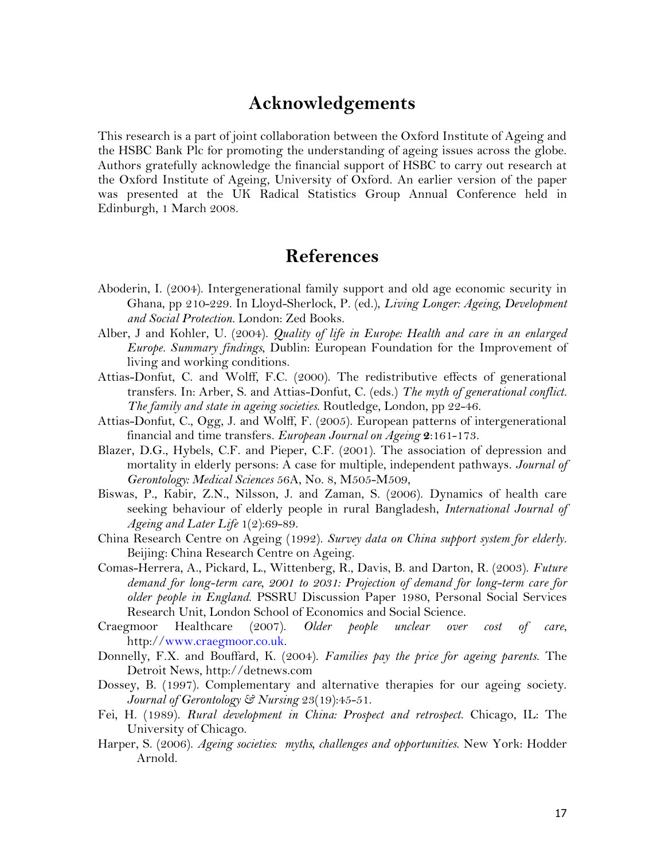### **Acknowledgements**

This research is a part of joint collaboration between the Oxford Institute of Ageing and the HSBC Bank Plc for promoting the understanding of ageing issues across the globe. Authors gratefully acknowledge the financial support of HSBC to carry out research at the Oxford Institute of Ageing, University of Oxford. An earlier version of the paper was presented at the UK Radical Statistics Group Annual Conference held in Edinburgh, 1 March 2008.

### **References**

- Aboderin, I. (2004). Intergenerational family support and old age economic security in Ghana, pp 210-229. In Lloyd-Sherlock, P. (ed.), *Living Longer: Ageing, Development and Social Protection.* London: Zed Books.
- Alber, J and Kohler, U. (2004). *Quality of life in Europe: Health and care in an enlarged Europe. Summary findings*, Dublin: European Foundation for the Improvement of living and working conditions.
- Attias-Donfut, C. and Wolff, F.C. (2000). The redistributive effects of generational transfers. In: Arber, S. and Attias-Donfut, C. (eds.) *The myth of generational conflict. The family and state in ageing societies*. Routledge, London, pp 22-46.
- Attias-Donfut, C., Ogg, J. and Wolff, F. (2005). European patterns of intergenerational financial and time transfers. *European Journal on Ageing* **2**:161-173.
- Blazer, D.G., Hybels, C.F. and Pieper, C.F. (2001). The association of depression and mortality in elderly persons: A case for multiple, independent pathways. *Journal of Gerontology: Medical Sciences* 56A, No. 8, M505-M509,
- Biswas, P., Kabir, Z.N., Nilsson, J. and Zaman, S. (2006). Dynamics of health care seeking behaviour of elderly people in rural Bangladesh, *International Journal of Ageing and Later Life* 1(2):69-89.
- China Research Centre on Ageing (1992). *Survey data on China support system for elderly*. Beijing: China Research Centre on Ageing.
- Comas-Herrera, A., Pickard, L., Wittenberg, R., Davis, B. and Darton, R. (2003). *Future demand for long-term care, 2001 to 2031: Projection of demand for long-term care for older people in England*. PSSRU Discussion Paper 1980, Personal Social Services Research Unit, London School of Economics and Social Science.
- Craegmoor Healthcare (2007). *Older people unclear over cost of care*, http:/[/www.craegmoor.co.uk.](http://www.craegmoor.co.uk/)
- Donnelly, F.X. and Bouffard, K. (2004). *Families pay the price for ageing parents*. The Detroit News, http://detnews.com
- Dossey, B. (1997). Complementary and alternative therapies for our ageing society. *Journal of Gerontology & Nursing* 23(19):45-51.
- Fei, H. (1989). *Rural development in China: Prospect and retrospect*. Chicago, IL: The University of Chicago.
- Harper, S. (2006). *Ageing societies: myths, challenges and opportunities*. New York: Hodder Arnold.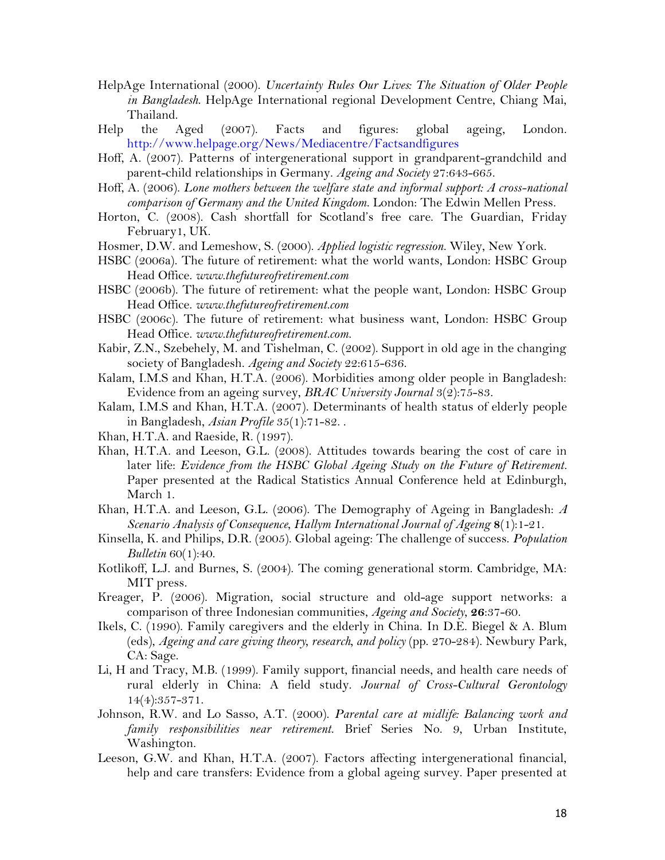- HelpAge International (2000). *Uncertainty Rules Our Lives: The Situation of Older People in Bangladesh*. HelpAge International regional Development Centre, Chiang Mai, Thailand.
- Help the Aged (2007). Facts and figures: global ageing, London. <http://www.helpage.org/News/Mediacentre/Factsandfigures>
- Hoff, A. (2007). Patterns of intergenerational support in grandparent-grandchild and parent-child relationships in Germany. *Ageing and Society* 27:643-665.
- Hoff, A. (2006). *Lone mothers between the welfare state and informal support: A cross-national comparison of Germany and the United Kingdom*. London: The Edwin Mellen Press.
- Horton, C. (2008). Cash shortfall for Scotland"s free care. The Guardian, Friday February1, UK.
- Hosmer, D.W. and Lemeshow, S. (2000). *Applied logistic regression*. Wiley, New York.
- HSBC (2006a). The future of retirement: what the world wants, London: HSBC Group Head Office. *[www.thefutureofretirement.com](http://www.thefutureofretirement.com/)*
- HSBC (2006b). The future of retirement: what the people want, London: HSBC Group Head Office. *[www.thefutureofretirement.com](http://www.thefutureofretirement.com/)*
- HSBC (2006c). The future of retirement: what business want, London: HSBC Group Head Office. *[www.thefutureofretirement.com](http://www.thefutureofretirement.com/)*.
- Kabir, Z.N., Szebehely, M. and Tishelman, C. (2002). Support in old age in the changing society of Bangladesh. *Ageing and Society* 22:615-636.
- Kalam, I.M.S and Khan, H.T.A. (2006). Morbidities among older people in Bangladesh: Evidence from an ageing survey, *BRAC University Journal* 3(2):75-83.
- Kalam, I.M.S and Khan, H.T.A. (2007). Determinants of health status of elderly people in Bangladesh, *Asian Profile* 35(1):71-82. .
- Khan, H.T.A. and Raeside, R. (1997).
- Khan, H.T.A. and Leeson, G.L. (2008). Attitudes towards bearing the cost of care in later life: *Evidence from the HSBC Global Ageing Study on the Future of Retirement.* Paper presented at the Radical Statistics Annual Conference held at Edinburgh, March 1.
- Khan, H.T.A. and Leeson, G.L. (2006). The Demography of Ageing in Bangladesh: *A Scenario Analysis of Consequence*, *Hallym International Journal of Ageing* **8**(1):1-21.
- Kinsella, K. and Philips, D.R. (2005). Global ageing: The challenge of success. *Population Bulletin* 60(1):40.
- Kotlikoff, L.J. and Burnes, S. (2004). The coming generational storm. Cambridge, MA: MIT press.
- Kreager, P. (2006). Migration, social structure and old-age support networks: a comparison of three Indonesian communities, *Ageing and Society*, **26**:37-60.
- Ikels, C. (1990). Family caregivers and the elderly in China. In D.E. Biegel & A. Blum (eds), *Ageing and care giving theory, research, and policy* (pp. 270-284). Newbury Park, CA: Sage.
- Li, H and Tracy, M.B. (1999). Family support, financial needs, and health care needs of rural elderly in China: A field study. *Journal of Cross-Cultural Gerontology* 14(4):357-371.
- Johnson, R.W. and Lo Sasso, A.T. (2000). *Parental care at midlife: Balancing work and family responsibilities near retirement*. Brief Series No. 9, Urban Institute, Washington.
- Leeson, G.W. and Khan, H.T.A. (2007). Factors affecting intergenerational financial, help and care transfers: Evidence from a global ageing survey. Paper presented at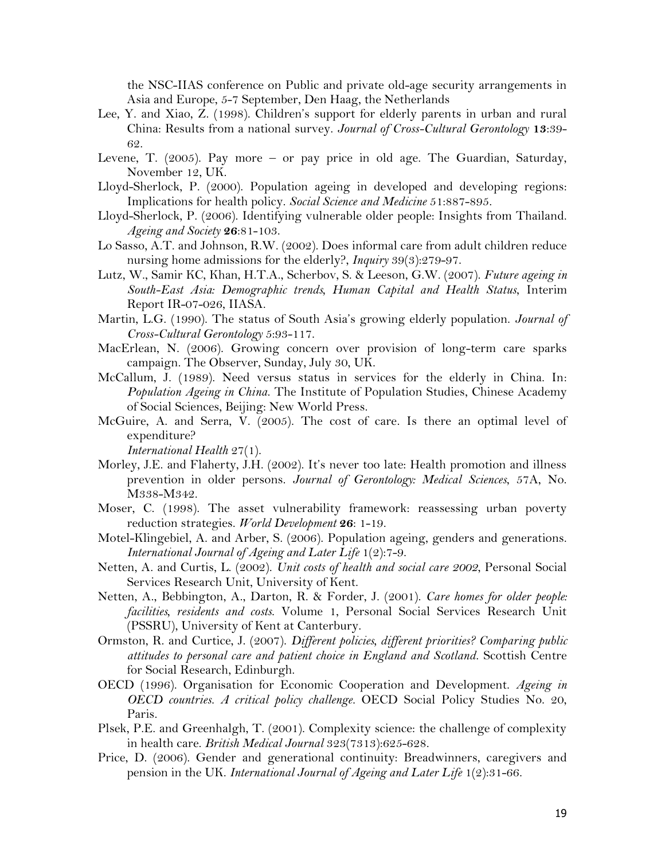the NSC-IIAS conference on Public and private old-age security arrangements in Asia and Europe, 5-7 September, Den Haag, the Netherlands

- Lee, Y. and Xiao, Z. (1998). Children"s support for elderly parents in urban and rural China: Results from a national survey. *Journal of Cross-Cultural Gerontology* **13**:39- 62.
- Levene, T. (2005). Pay more or pay price in old age. The Guardian, Saturday, November 12, UK.
- Lloyd-Sherlock, P. (2000). Population ageing in developed and developing regions: Implications for health policy. *Social Science and Medicine* 51:887-895.
- Lloyd-Sherlock, P. (2006). Identifying vulnerable older people: Insights from Thailand. *Ageing and Society* **26**:81-103.
- Lo Sasso, A.T. and Johnson, R.W. (2002). Does informal care from adult children reduce nursing home admissions for the elderly?, *Inquiry* 39(3):279-97.
- Lutz, W., Samir KC, Khan, H.T.A., Scherbov, S. & Leeson, G.W. (2007). *Future ageing in South-East Asia: Demographic trends, Human Capital and Health Status*, Interim Report IR-07-026, IIASA.
- Martin, L.G. (1990). The status of South Asia"s growing elderly population. *Journal of Cross-Cultural Gerontology* 5:93-117.
- MacErlean, N. (2006). Growing concern over provision of long-term care sparks campaign. The Observer, Sunday, July 30, UK.
- McCallum, J. (1989). Need versus status in services for the elderly in China. In: *Population Ageing in China*. The Institute of Population Studies, Chinese Academy of Social Sciences, Beijing: New World Press.
- McGuire, A. and Serra, V. (2005). The cost of care. Is there an optimal level of expenditure?

*International Health* 27(1).

- Morley, J.E. and Flaherty, J.H. (2002). It's never too late: Health promotion and illness prevention in older persons. *Journal of Gerontology: Medical Sciences*, 57A, No. M338-M342.
- Moser, C. (1998). The asset vulnerability framework: reassessing urban poverty reduction strategies. *World Development* **26**: 1-19.
- Motel-Klingebiel, A. and Arber, S. (2006). Population ageing, genders and generations. *International Journal of Ageing and Later Life* 1(2):7-9.
- Netten, A. and Curtis, L. (2002). *Unit costs of health and social care 2002*, Personal Social Services Research Unit, University of Kent.
- Netten, A., Bebbington, A., Darton, R. & Forder, J. (2001). *Care homes for older people: facilities, residents and costs*. Volume 1, Personal Social Services Research Unit (PSSRU), University of Kent at Canterbury.
- Ormston, R. and Curtice, J. (2007). *Different policies, different priorities? Comparing public attitudes to personal care and patient choice in England and Scotland*. Scottish Centre for Social Research, Edinburgh.
- OECD (1996). Organisation for Economic Cooperation and Development. *Ageing in OECD countries. A critical policy challenge.* OECD Social Policy Studies No. 20, Paris.
- Plsek, P.E. and Greenhalgh, T. (2001). Complexity science: the challenge of complexity in health care. *British Medical Journal* 323(7313):625-628.
- Price, D. (2006). Gender and generational continuity: Breadwinners, caregivers and pension in the UK. *International Journal of Ageing and Later Life* 1(2):31-66.